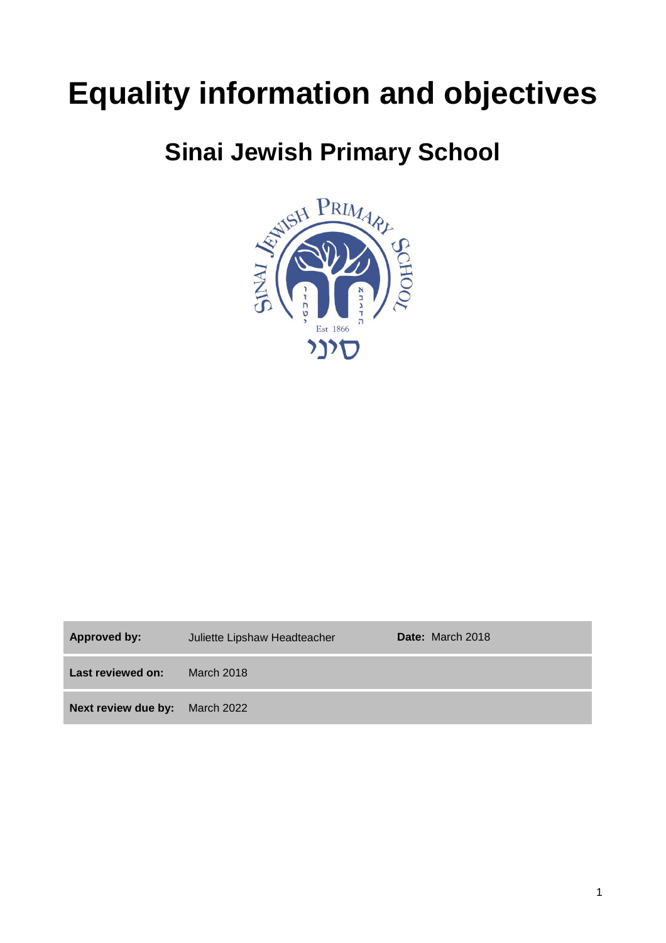# **Equality information and objectives**

# **Sinai Jewish Primary School**



| Approved by:                          | Juliette Lipshaw Headteacher | <b>Date:</b> March 2018 |
|---------------------------------------|------------------------------|-------------------------|
| Last reviewed on:                     | March 2018                   |                         |
| <b>Next review due by:</b> March 2022 |                              |                         |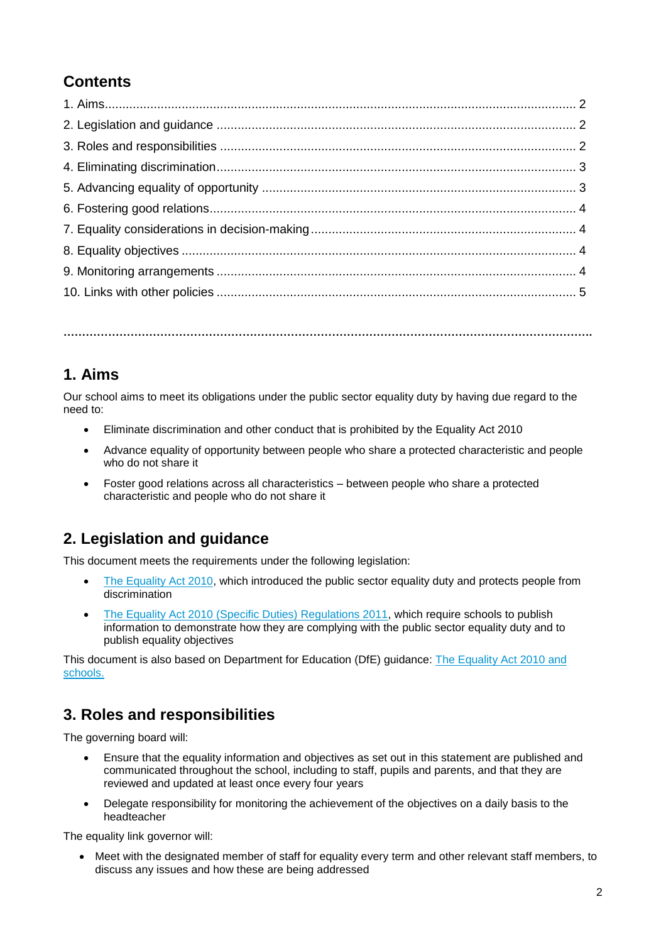## **Contents**

**…………………………………………………………………………………………………………………………….**

#### **1. Aims**

Our school aims to meet its obligations under the public sector equality duty by having due regard to the need to:

- Eliminate discrimination and other conduct that is prohibited by the Equality Act 2010
- Advance equality of opportunity between people who share a protected characteristic and people who do not share it
- Foster good relations across all characteristics between people who share a protected characteristic and people who do not share it

#### **2. Legislation and guidance**

This document meets the requirements under the following legislation:

- The [Equality Act 2010,](http://www.legislation.gov.uk/ukpga/2010/15/contents) which introduced the public sector equality duty and protects people from discrimination
- [The Equality Act 2010 \(Specific Duties\) Regulations 2011,](http://www.legislation.gov.uk/uksi/2011/2260/contents/made) which require schools to publish information to demonstrate how they are complying with the public sector equality duty and to publish equality objectives

This document is also based on Department for Education (DfE) guidance: [The Equality Act 2010 and](https://www.gov.uk/government/uploads/system/uploads/attachment_data/file/315587/Equality_Act_Advice_Final.pdf)  [schools.](https://www.gov.uk/government/uploads/system/uploads/attachment_data/file/315587/Equality_Act_Advice_Final.pdf) 

#### **3. Roles and responsibilities**

The governing board will:

- Ensure that the equality information and objectives as set out in this statement are published and communicated throughout the school, including to staff, pupils and parents, and that they are reviewed and updated at least once every four years
- Delegate responsibility for monitoring the achievement of the objectives on a daily basis to the headteacher

The equality link governor will:

 Meet with the designated member of staff for equality every term and other relevant staff members, to discuss any issues and how these are being addressed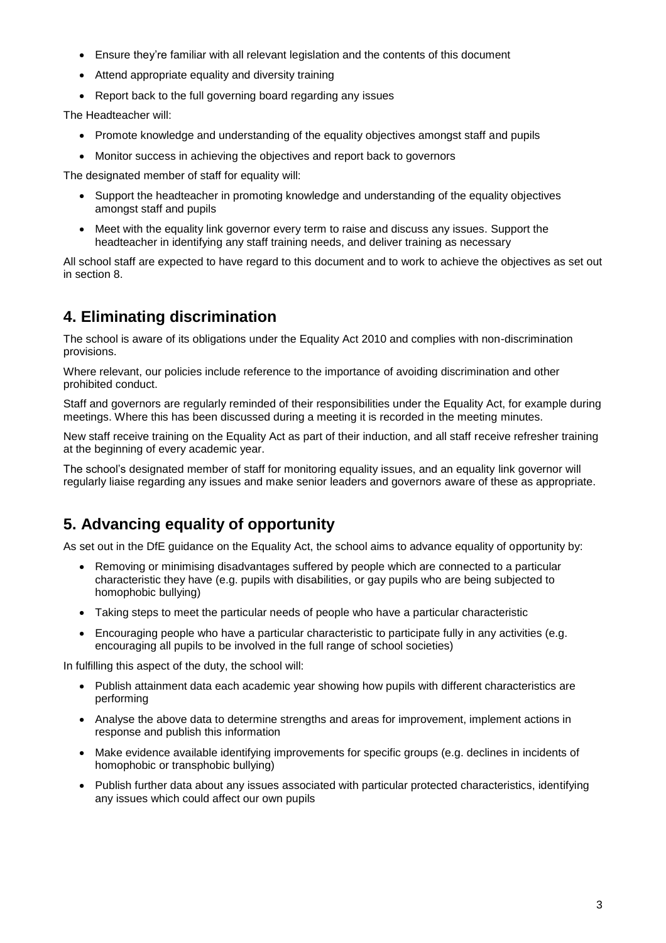- Ensure they're familiar with all relevant legislation and the contents of this document
- Attend appropriate equality and diversity training
- Report back to the full governing board regarding any issues

The Headteacher will:

- Promote knowledge and understanding of the equality objectives amongst staff and pupils
- Monitor success in achieving the objectives and report back to governors

The designated member of staff for equality will:

- Support the headteacher in promoting knowledge and understanding of the equality objectives amongst staff and pupils
- Meet with the equality link governor every term to raise and discuss any issues. Support the headteacher in identifying any staff training needs, and deliver training as necessary

All school staff are expected to have regard to this document and to work to achieve the objectives as set out in section 8.

#### **4. Eliminating discrimination**

The school is aware of its obligations under the Equality Act 2010 and complies with non-discrimination provisions.

Where relevant, our policies include reference to the importance of avoiding discrimination and other prohibited conduct.

Staff and governors are regularly reminded of their responsibilities under the Equality Act, for example during meetings. Where this has been discussed during a meeting it is recorded in the meeting minutes.

New staff receive training on the Equality Act as part of their induction, and all staff receive refresher training at the beginning of every academic year.

The school's designated member of staff for monitoring equality issues, and an equality link governor will regularly liaise regarding any issues and make senior leaders and governors aware of these as appropriate.

#### **5. Advancing equality of opportunity**

As set out in the DfE guidance on the Equality Act, the school aims to advance equality of opportunity by:

- Removing or minimising disadvantages suffered by people which are connected to a particular characteristic they have (e.g. pupils with disabilities, or gay pupils who are being subjected to homophobic bullying)
- Taking steps to meet the particular needs of people who have a particular characteristic
- Encouraging people who have a particular characteristic to participate fully in any activities (e.g. encouraging all pupils to be involved in the full range of school societies)

In fulfilling this aspect of the duty, the school will:

- Publish attainment data each academic year showing how pupils with different characteristics are performing
- Analyse the above data to determine strengths and areas for improvement, implement actions in response and publish this information
- Make evidence available identifying improvements for specific groups (e.g. declines in incidents of homophobic or transphobic bullying)
- Publish further data about any issues associated with particular protected characteristics, identifying any issues which could affect our own pupils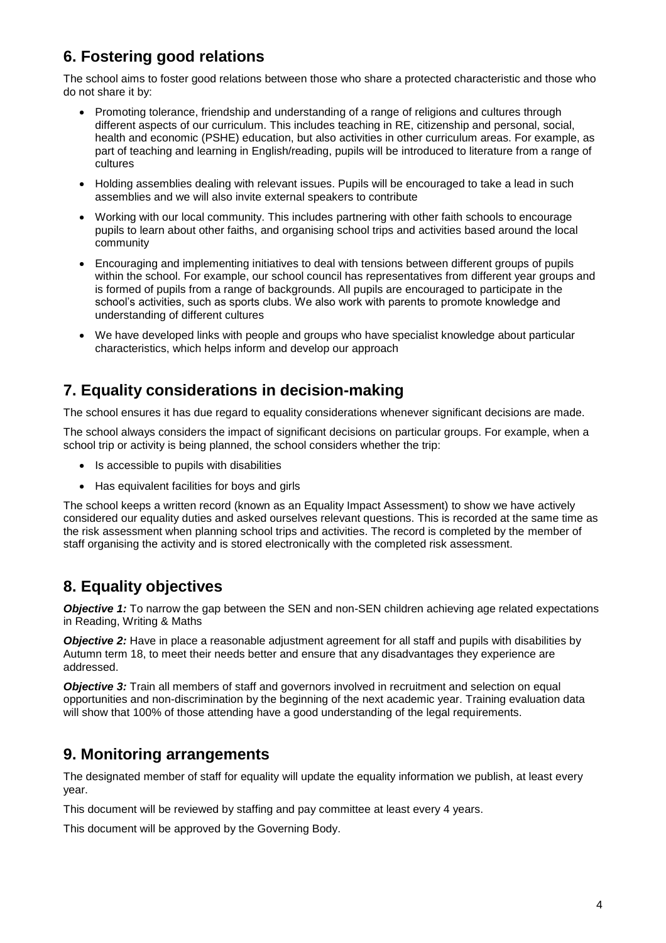### **6. Fostering good relations**

The school aims to foster good relations between those who share a protected characteristic and those who do not share it by:

- Promoting tolerance, friendship and understanding of a range of religions and cultures through different aspects of our curriculum. This includes teaching in RE, citizenship and personal, social, health and economic (PSHE) education, but also activities in other curriculum areas. For example, as part of teaching and learning in English/reading, pupils will be introduced to literature from a range of cultures
- Holding assemblies dealing with relevant issues. Pupils will be encouraged to take a lead in such assemblies and we will also invite external speakers to contribute
- Working with our local community. This includes partnering with other faith schools to encourage pupils to learn about other faiths, and organising school trips and activities based around the local community
- Encouraging and implementing initiatives to deal with tensions between different groups of pupils within the school. For example, our school council has representatives from different year groups and is formed of pupils from a range of backgrounds. All pupils are encouraged to participate in the school's activities, such as sports clubs. We also work with parents to promote knowledge and understanding of different cultures
- We have developed links with people and groups who have specialist knowledge about particular characteristics, which helps inform and develop our approach

#### **7. Equality considerations in decision-making**

The school ensures it has due regard to equality considerations whenever significant decisions are made.

The school always considers the impact of significant decisions on particular groups. For example, when a school trip or activity is being planned, the school considers whether the trip:

- Is accessible to pupils with disabilities
- Has equivalent facilities for boys and girls

The school keeps a written record (known as an Equality Impact Assessment) to show we have actively considered our equality duties and asked ourselves relevant questions. This is recorded at the same time as the risk assessment when planning school trips and activities. The record is completed by the member of staff organising the activity and is stored electronically with the completed risk assessment.

#### **8. Equality objectives**

*Objective 1:* To narrow the gap between the SEN and non-SEN children achieving age related expectations in Reading, Writing & Maths

*Objective 2:* Have in place a reasonable adjustment agreement for all staff and pupils with disabilities by Autumn term 18, to meet their needs better and ensure that any disadvantages they experience are addressed.

**Objective 3:** Train all members of staff and governors involved in recruitment and selection on equal opportunities and non-discrimination by the beginning of the next academic year. Training evaluation data will show that 100% of those attending have a good understanding of the legal requirements.

#### **9. Monitoring arrangements**

The designated member of staff for equality will update the equality information we publish, at least every year.

This document will be reviewed by staffing and pay committee at least every 4 years.

This document will be approved by the Governing Body.